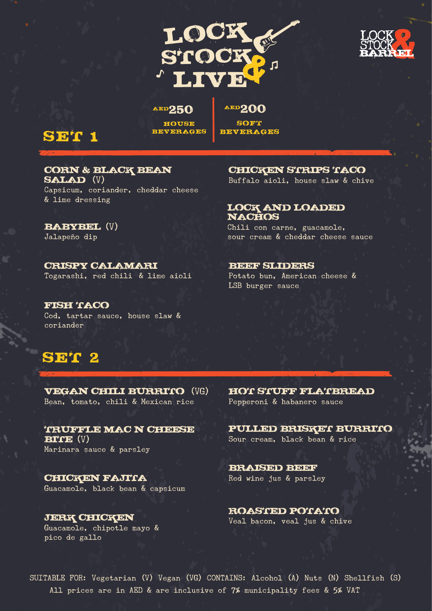



#### AED250

AED200

**SOFT** BEVERAGES

HOUSE BEVERAGES

## SET 1

#### CORN & BLACK BEAN SALAD (V)

Capsicum, coriander, cheddar cheese & lime dressing

## BABYBEL (V)

Jalapeño dip

#### CRISPY CALAMARI Togarashi, red chili\ & lime aioli

FISH TACO Cod, tartar sauce, house slaw & coriander

## SET 2

VEGAN CHILI BURRITO (VG) Bean, tomato, chili & Mexican rice

TRUFFLE MAC N CHEESE  $BITE$   $(V)$ Marinara sauce & parsley

CHICKEN FAJITA Guacamole, black bean & capsicum

pico de gallo

CHICKEN STRIPS TACO Buffalo aioli, house slaw & chive

#### LOCK AND LOADED NACHOS

Chili con carne, guacamole, sour cream & cheddar cheese sauce

#### **BEEF SLIDERS**

Potato bun, American cheese & LSB burger sauce

HOT STUFF FLATBREAD Pepperoni & habanero sauce

PULLED BRISKET BURRITO Sour cream, black bean & rice

**BRAISED BEEF** Red wine jus & parsley

**JERK CHICKEN ROASTED POTATO**<br>Guacamole, chipotle mayo & Veal bacon, veal jus & chive

SUITABLE FOR: Vegetarian (V) Vegan (VG) CONTAINS: Alcohol (A) Nuts (N) Shellfish (S) All prices are in AED & are inclusive of 7% municipality fees & 5% VAT